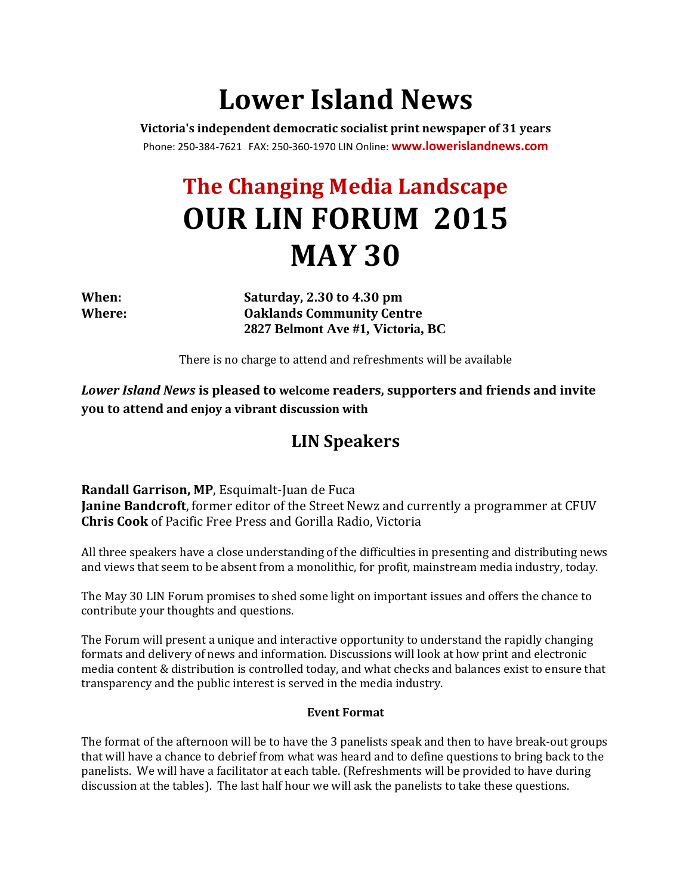# **Lower Island News**

**Victoria's independent democratic socialist print newspaper of 31 years** Phone: 250-384-7621 FAX: 250-360-1970 LIN Online: **<www.lowerislandnews.com>**

## **The Changing Media Landscape OUR LIN FORUM 2015 MAY 30**

**When: Saturday, 2.30 to 4.30 pm Where: Oaklands Community Centre 2827 Belmont Ave #1, Victoria, BC** 

There is no charge to attend and refreshments will be available

*Lower Island News* **is pleased to welcome readers, supporters and friends and invite you to attend and enjoy a vibrant discussion with**

## **LIN Speakers**

**Randall Garrison, MP**, Esquimalt-Juan de Fuca **Janine Bandcroft**, former editor of the Street Newz and currently a programmer at CFUV **Chris Cook** of Pacific Free Press and Gorilla Radio, Victoria

All three speakers have a close understanding of the difficulties in presenting and distributing news and views that seem to be absent from a monolithic, for profit, mainstream media industry, today.

The May 30 LIN Forum promises to shed some light on important issues and offers the chance to contribute your thoughts and questions.

The Forum will present a unique and interactive opportunity to understand the rapidly changing formats and delivery of news and information. Discussions will look at how print and electronic media content & distribution is controlled today, and what checks and balances exist to ensure that transparency and the public interest is served in the media industry.

### **Event Format**

The format of the afternoon will be to have the 3 panelists speak and then to have break-out groups that will have a chance to debrief from what was heard and to define questions to bring back to the panelists. We will have a facilitator at each table. (Refreshments will be provided to have during discussion at the tables). The last half hour we will ask the panelists to take these questions.